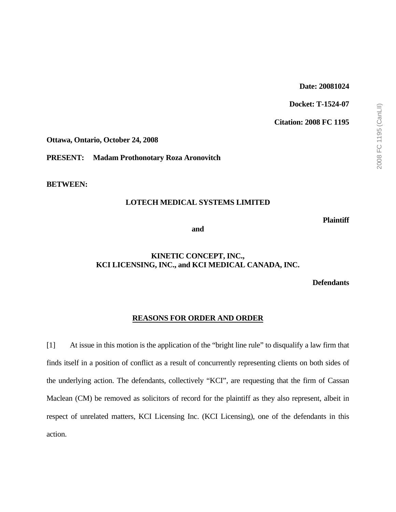### **Date: 20081024**

**Docket: T-1524-07** 

**Citation: 2008 FC 1195** 

**Ottawa, Ontario, October 24, 2008** 

**PRESENT: Madam Prothonotary Roza Aronovitch** 

**BETWEEN:** 

### **LOTECH MEDICAL SYSTEMS LIMITED**

**Plaintiff** 

**and** 

### **KINETIC CONCEPT, INC., KCI LICENSING, INC., and KCI MEDICAL CANADA, INC.**

**Defendants** 

#### **REASONS FOR ORDER AND ORDER**

[1] At issue in this motion is the application of the "bright line rule" to disqualify a law firm that finds itself in a position of conflict as a result of concurrently representing clients on both sides of the underlying action. The defendants, collectively "KCI", are requesting that the firm of Cassan Maclean (CM) be removed as solicitors of record for the plaintiff as they also represent, albeit in respect of unrelated matters, KCI Licensing Inc. (KCI Licensing), one of the defendants in this action.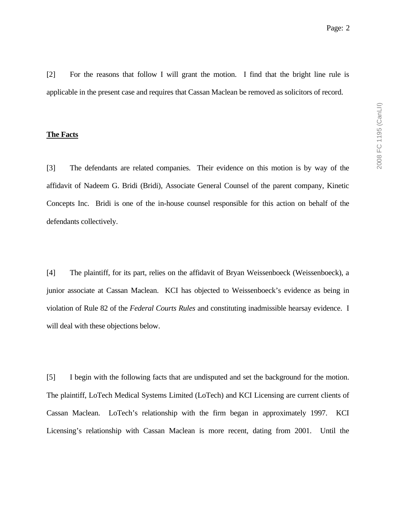[2] For the reasons that follow I will grant the motion. I find that the bright line rule is applicable in the present case and requires that Cassan Maclean be removed as solicitors of record.

#### **The Facts**

[3] The defendants are related companies. Their evidence on this motion is by way of the affidavit of Nadeem G. Bridi (Bridi), Associate General Counsel of the parent company, Kinetic Concepts Inc. Bridi is one of the in-house counsel responsible for this action on behalf of the defendants collectively.

[4] The plaintiff, for its part, relies on the affidavit of Bryan Weissenboeck (Weissenboeck), a junior associate at Cassan Maclean. KCI has objected to Weissenboeck's evidence as being in violation of Rule 82 of the *Federal Courts Rules* and constituting inadmissible hearsay evidence. I will deal with these objections below.

[5] I begin with the following facts that are undisputed and set the background for the motion. The plaintiff, LoTech Medical Systems Limited (LoTech) and KCI Licensing are current clients of Cassan Maclean. LoTech's relationship with the firm began in approximately 1997. KCI Licensing's relationship with Cassan Maclean is more recent, dating from 2001. Until the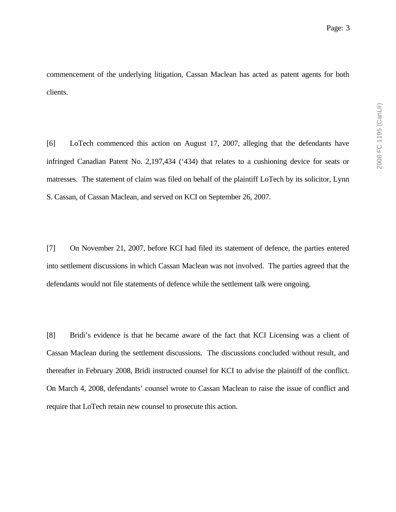commencement of the underlying litigation, Cassan Maclean has acted as patent agents for both clients.

[6] LoTech commenced this action on August 17, 2007, alleging that the defendants have infringed Canadian Patent No. 2,197,434 ('434) that relates to a cushioning device for seats or matresses. The statement of claim was filed on behalf of the plaintiff LoTech by its solicitor, Lynn S. Cassan, of Cassan Maclean, and served on KCI on September 26, 2007.

[7] On November 21, 2007, before KCI had filed its statement of defence, the parties entered into settlement discussions in which Cassan Maclean was not involved. The parties agreed that the defendants would not file statements of defence while the settlement talk were ongoing.

[8] Bridi's evidence is that he became aware of the fact that KCI Licensing was a client of Cassan Maclean during the settlement discussions. The discussions concluded without result, and thereafter in February 2008, Bridi instructed counsel for KCI to advise the plaintiff of the conflict. On March 4, 2008, defendants' counsel wrote to Cassan Maclean to raise the issue of conflict and require that LoTech retain new counsel to prosecute this action.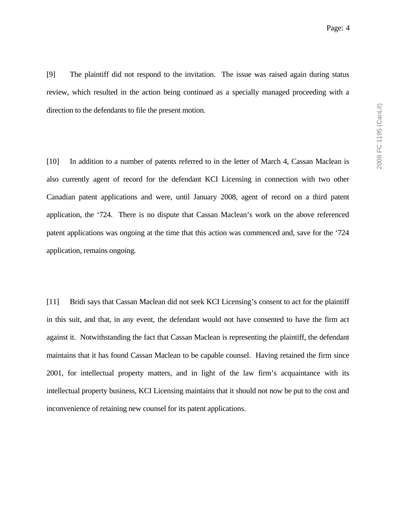[9] The plaintiff did not respond to the invitation. The issue was raised again during status review, which resulted in the action being continued as a specially managed proceeding with a direction to the defendants to file the present motion.

[10] In addition to a number of patents referred to in the letter of March 4, Cassan Maclean is also currently agent of record for the defendant KCI Licensing in connection with two other Canadian patent applications and were, until January 2008, agent of record on a third patent application, the '724. There is no dispute that Cassan Maclean's work on the above referenced patent applications was ongoing at the time that this action was commenced and, save for the '724 application, remains ongoing.

[11] Bridi says that Cassan Maclean did not seek KCI Licensing's consent to act for the plaintiff in this suit, and that, in any event, the defendant would not have consented to have the firm act against it. Notwithstanding the fact that Cassan Maclean is representing the plaintiff, the defendant maintains that it has found Cassan Maclean to be capable counsel. Having retained the firm since 2001, for intellectual property matters, and in light of the law firm's acquaintance with its intellectual property business, KCI Licensing maintains that it should not now be put to the cost and inconvenience of retaining new counsel for its patent applications.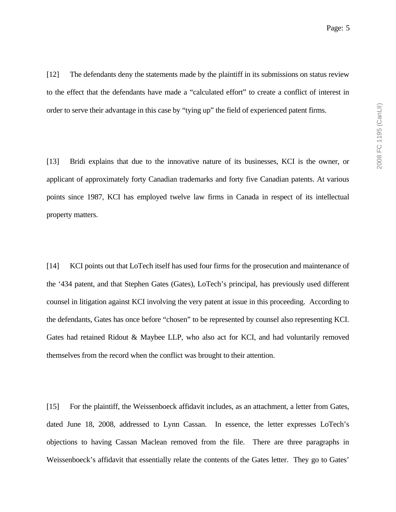[12] The defendants deny the statements made by the plaintiff in its submissions on status review to the effect that the defendants have made a "calculated effort" to create a conflict of interest in order to serve their advantage in this case by "tying up" the field of experienced patent firms.

[13] Bridi explains that due to the innovative nature of its businesses, KCI is the owner, or applicant of approximately forty Canadian trademarks and forty five Canadian patents. At various points since 1987, KCI has employed twelve law firms in Canada in respect of its intellectual property matters.

[14] KCI points out that LoTech itself has used four firms for the prosecution and maintenance of the '434 patent, and that Stephen Gates (Gates), LoTech's principal, has previously used different counsel in litigation against KCI involving the very patent at issue in this proceeding. According to the defendants, Gates has once before "chosen" to be represented by counsel also representing KCI. Gates had retained Ridout & Maybee LLP, who also act for KCI, and had voluntarily removed themselves from the record when the conflict was brought to their attention.

[15] For the plaintiff, the Weissenboeck affidavit includes, as an attachment, a letter from Gates, dated June 18, 2008, addressed to Lynn Cassan. In essence, the letter expresses LoTech's objections to having Cassan Maclean removed from the file. There are three paragraphs in Weissenboeck's affidavit that essentially relate the contents of the Gates letter. They go to Gates'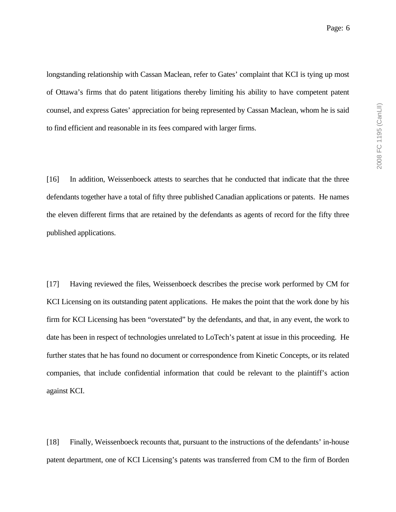longstanding relationship with Cassan Maclean, refer to Gates' complaint that KCI is tying up most of Ottawa's firms that do patent litigations thereby limiting his ability to have competent patent counsel, and express Gates' appreciation for being represented by Cassan Maclean, whom he is said to find efficient and reasonable in its fees compared with larger firms.

[16] In addition, Weissenboeck attests to searches that he conducted that indicate that the three defendants together have a total of fifty three published Canadian applications or patents. He names the eleven different firms that are retained by the defendants as agents of record for the fifty three published applications.

[17] Having reviewed the files, Weissenboeck describes the precise work performed by CM for KCI Licensing on its outstanding patent applications. He makes the point that the work done by his firm for KCI Licensing has been "overstated" by the defendants, and that, in any event, the work to date has been in respect of technologies unrelated to LoTech's patent at issue in this proceeding. He further states that he has found no document or correspondence from Kinetic Concepts, or its related companies, that include confidential information that could be relevant to the plaintiff's action against KCI.

[18] Finally, Weissenboeck recounts that, pursuant to the instructions of the defendants' in-house patent department, one of KCI Licensing's patents was transferred from CM to the firm of Borden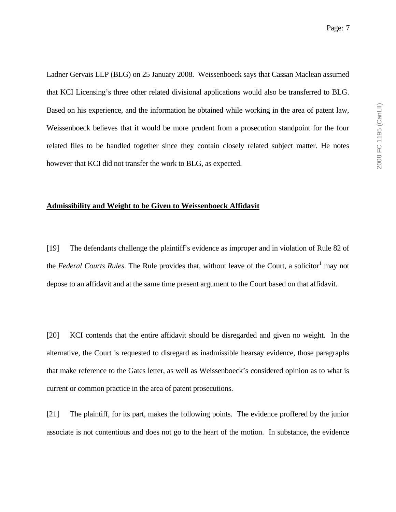Ladner Gervais LLP (BLG) on 25 January 2008. Weissenboeck says that Cassan Maclean assumed that KCI Licensing's three other related divisional applications would also be transferred to BLG. Based on his experience, and the information he obtained while working in the area of patent law, Weissenboeck believes that it would be more prudent from a prosecution standpoint for the four related files to be handled together since they contain closely related subject matter. He notes however that KCI did not transfer the work to BLG, as expected.

#### **Admissibility and Weight to be Given to Weissenboeck Affidavit**

[19] The defendants challenge the plaintiff's evidence as improper and in violation of Rule 82 of the *Federal Courts Rules*. The Rule provides that, without leave of the Court, a solicitor<sup>1</sup> may not depose to an affidavit and at the same time present argument to the Court based on that affidavit.

[20] KCI contends that the entire affidavit should be disregarded and given no weight. In the alternative, the Court is requested to disregard as inadmissible hearsay evidence, those paragraphs that make reference to the Gates letter, as well as Weissenboeck's considered opinion as to what is current or common practice in the area of patent prosecutions.

[21] The plaintiff, for its part, makes the following points. The evidence proffered by the junior associate is not contentious and does not go to the heart of the motion. In substance, the evidence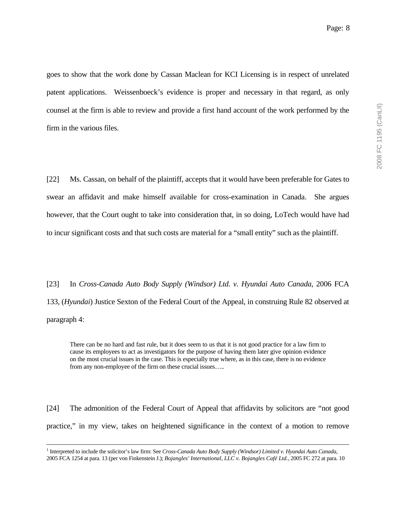goes to show that the work done by Cassan Maclean for KCI Licensing is in respect of unrelated patent applications. Weissenboeck's evidence is proper and necessary in that regard, as only counsel at the firm is able to review and provide a first hand account of the work performed by the firm in the various files.

[22] Ms. Cassan, on behalf of the plaintiff, accepts that it would have been preferable for Gates to swear an affidavit and make himself available for cross-examination in Canada. She argues however, that the Court ought to take into consideration that, in so doing, LoTech would have had to incur significant costs and that such costs are material for a "small entity" such as the plaintiff.

[23] In *Cross-Canada Auto Body Supply (Windsor) Ltd. v. Hyundai Auto Canada*, 2006 FCA 133, (*Hyundai*) Justice Sexton of the Federal Court of the Appeal, in construing Rule 82 observed at paragraph 4:

There can be no hard and fast rule, but it does seem to us that it is not good practice for a law firm to cause its employees to act as investigators for the purpose of having them later give opinion evidence on the most crucial issues in the case. This is especially true where, as in this case, there is no evidence from any non-employee of the firm on these crucial issues…..

[24] The admonition of the Federal Court of Appeal that affidavits by solicitors are "not good practice," in my view, takes on heightened significance in the context of a motion to remove

 $\frac{1}{1}$  Interpreted to include the solicitor's law firm: See *Cross-Canada Auto Body Supply (Windsor) Limited v. Hyundai Auto Canada,* 2005 FCA 1254 at para. 13 (per von Finkenstein J.); *Bojangles' International, LLC v. Bojangles Café Ltd.*, 2005 FC 272 at para. 10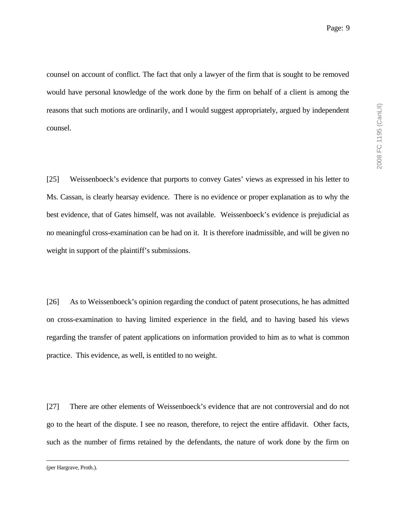counsel on account of conflict. The fact that only a lawyer of the firm that is sought to be removed would have personal knowledge of the work done by the firm on behalf of a client is among the reasons that such motions are ordinarily, and I would suggest appropriately, argued by independent counsel.

[25] Weissenboeck's evidence that purports to convey Gates' views as expressed in his letter to Ms. Cassan, is clearly hearsay evidence. There is no evidence or proper explanation as to why the best evidence, that of Gates himself, was not available. Weissenboeck's evidence is prejudicial as no meaningful cross-examination can be had on it. It is therefore inadmissible, and will be given no weight in support of the plaintiff's submissions.

[26] As to Weissenboeck's opinion regarding the conduct of patent prosecutions, he has admitted on cross-examination to having limited experience in the field, and to having based his views regarding the transfer of patent applications on information provided to him as to what is common practice. This evidence, as well, is entitled to no weight.

[27] There are other elements of Weissenboeck's evidence that are not controversial and do not go to the heart of the dispute. I see no reason, therefore, to reject the entire affidavit. Other facts, such as the number of firms retained by the defendants, the nature of work done by the firm on

(per Hargrave, Proth.).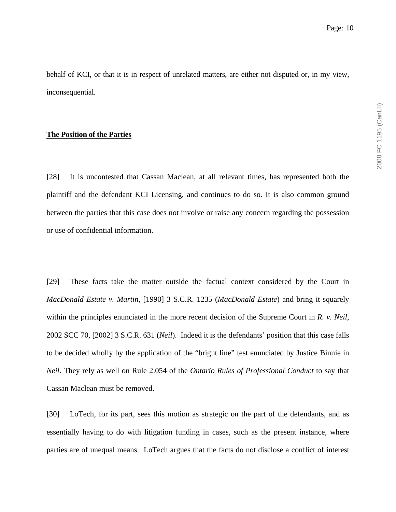behalf of KCI, or that it is in respect of unrelated matters, are either not disputed or, in my view, inconsequential.

#### **The Position of the Parties**

[28] It is uncontested that Cassan Maclean, at all relevant times, has represented both the plaintiff and the defendant KCI Licensing, and continues to do so. It is also common ground between the parties that this case does not involve or raise any concern regarding the possession or use of confidential information.

[29] These facts take the matter outside the factual context considered by the Court in *MacDonald Estate v. Martin*, [1990] 3 S.C.R. 1235 (*MacDonald Estate*) and bring it squarely within the principles enunciated in the more recent decision of the Supreme Court in *R. v. Neil*, 2002 SCC 70, [2002] 3 S.C.R. 631 (*Neil*). Indeed it is the defendants' position that this case falls to be decided wholly by the application of the "bright line" test enunciated by Justice Binnie in *Neil*. They rely as well on Rule 2.054 of the *Ontario Rules of Professional Conduct* to say that Cassan Maclean must be removed.

[30] LoTech, for its part, sees this motion as strategic on the part of the defendants, and as essentially having to do with litigation funding in cases, such as the present instance, where parties are of unequal means. LoTech argues that the facts do not disclose a conflict of interest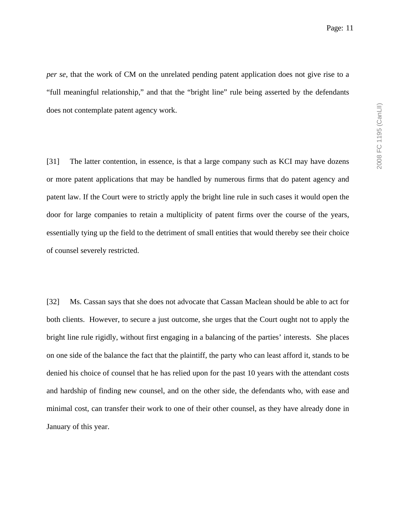*per se*, that the work of CM on the unrelated pending patent application does not give rise to a "full meaningful relationship," and that the "bright line" rule being asserted by the defendants does not contemplate patent agency work.

[31] The latter contention, in essence, is that a large company such as KCI may have dozens or more patent applications that may be handled by numerous firms that do patent agency and patent law. If the Court were to strictly apply the bright line rule in such cases it would open the door for large companies to retain a multiplicity of patent firms over the course of the years, essentially tying up the field to the detriment of small entities that would thereby see their choice of counsel severely restricted.

[32] Ms. Cassan says that she does not advocate that Cassan Maclean should be able to act for both clients. However, to secure a just outcome, she urges that the Court ought not to apply the bright line rule rigidly, without first engaging in a balancing of the parties' interests. She places on one side of the balance the fact that the plaintiff, the party who can least afford it, stands to be denied his choice of counsel that he has relied upon for the past 10 years with the attendant costs and hardship of finding new counsel, and on the other side, the defendants who, with ease and minimal cost, can transfer their work to one of their other counsel, as they have already done in January of this year.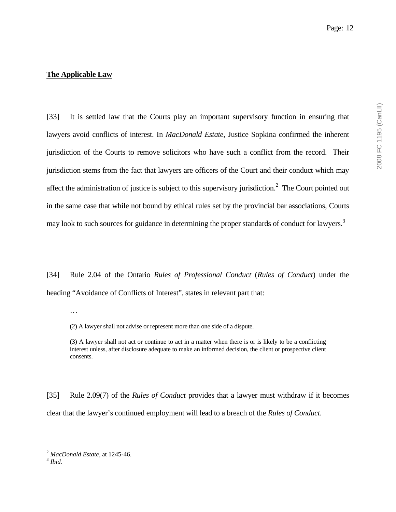#### **The Applicable Law**

[33] It is settled law that the Courts play an important supervisory function in ensuring that lawyers avoid conflicts of interest. In *MacDonald Estate*, Justice Sopkina confirmed the inherent jurisdiction of the Courts to remove solicitors who have such a conflict from the record. Their jurisdiction stems from the fact that lawyers are officers of the Court and their conduct which may affect the administration of justice is subject to this supervisory jurisdiction.<sup>2</sup> The Court pointed out in the same case that while not bound by ethical rules set by the provincial bar associations, Courts may look to such sources for guidance in determining the proper standards of conduct for lawyers.<sup>3</sup>

[34] Rule 2.04 of the Ontario *Rules of Professional Conduct* (*Rules of Conduct*) under the heading "Avoidance of Conflicts of Interest", states in relevant part that:

(2) A lawyer shall not advise or represent more than one side of a dispute.

(3) A lawyer shall not act or continue to act in a matter when there is or is likely to be a conflicting interest unless, after disclosure adequate to make an informed decision, the client or prospective client consents.

[35] Rule 2.09(7) of the *Rules of Conduct* provides that a lawyer must withdraw if it becomes clear that the lawyer's continued employment will lead to a breach of the *Rules of Conduct*.

<sup>…</sup> 

<sup>2</sup> *MacDonald Estate*, at 1245-46. 3 *Ibid.*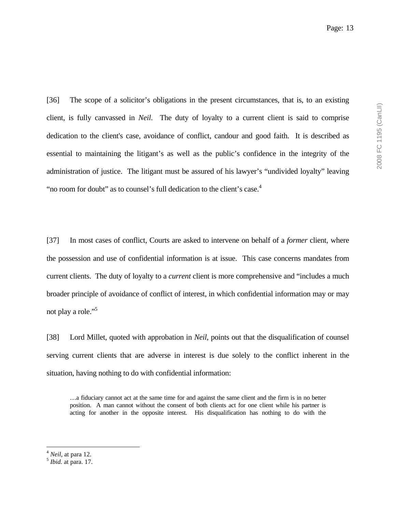[36] The scope of a solicitor's obligations in the present circumstances, that is, to an existing client, is fully canvassed in *Neil*. The duty of loyalty to a current client is said to comprise dedication to the client's case, avoidance of conflict, candour and good faith. It is described as essential to maintaining the litigant's as well as the public's confidence in the integrity of the administration of justice. The litigant must be assured of his lawyer's "undivided loyalty" leaving "no room for doubt" as to counsel's full dedication to the client's case.<sup>4</sup>

[37] In most cases of conflict, Courts are asked to intervene on behalf of a *former* client, where the possession and use of confidential information is at issue. This case concerns mandates from current clients. The duty of loyalty to a *current* client is more comprehensive and "includes a much broader principle of avoidance of conflict of interest, in which confidential information may or may not play a role."<sup>5</sup>

[38] Lord Millet, quoted with approbation in *Neil*, points out that the disqualification of counsel serving current clients that are adverse in interest is due solely to the conflict inherent in the situation, having nothing to do with confidential information:

…a fiduciary cannot act at the same time for and against the same client and the firm is in no better position. A man cannot without the consent of both clients act for one client while his partner is acting for another in the opposite interest. His disqualification has nothing to do with the

<sup>4</sup> *Neil*, at para 12. 5 *Ibid.* at para. 17.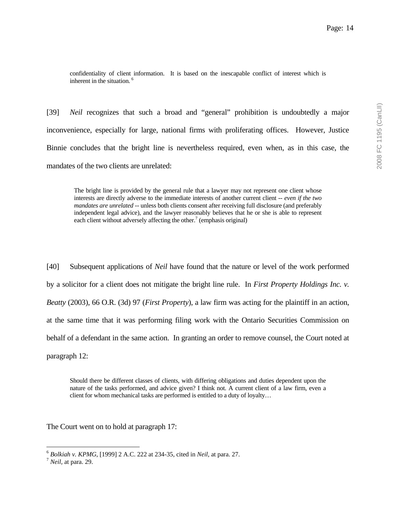confidentiality of client information. It is based on the inescapable conflict of interest which is inherent in the situation.<sup>6</sup>

[39] *Neil* recognizes that such a broad and "general" prohibition is undoubtedly a major inconvenience, especially for large, national firms with proliferating offices. However, Justice Binnie concludes that the bright line is nevertheless required, even when, as in this case, the mandates of the two clients are unrelated:

The bright line is provided by the general rule that a lawyer may not represent one client whose interests are directly adverse to the immediate interests of another current client -- *even if the two mandates are unrelated* -- unless both clients consent after receiving full disclosure (and preferably independent legal advice), and the lawyer reasonably believes that he or she is able to represent each client without adversely affecting the other.<sup>7</sup> (emphasis original)

[40] Subsequent applications of *Neil* have found that the nature or level of the work performed by a solicitor for a client does not mitigate the bright line rule. In *First Property Holdings Inc. v. Beatty* (2003), 66 O.R. (3d) 97 (*First Property*), a law firm was acting for the plaintiff in an action, at the same time that it was performing filing work with the Ontario Securities Commission on behalf of a defendant in the same action. In granting an order to remove counsel, the Court noted at paragraph 12:

Should there be different classes of clients, with differing obligations and duties dependent upon the nature of the tasks performed, and advice given? I think not. A current client of a law firm, even a client for whom mechanical tasks are performed is entitled to a duty of loyalty…

The Court went on to hold at paragraph 17:

<sup>6</sup> *Bolkiah v. KPMG*, [1999] 2 A.C. 222 at 234-35, cited in *Neil*, at para. 27. 7 *Neil,* at para. 29.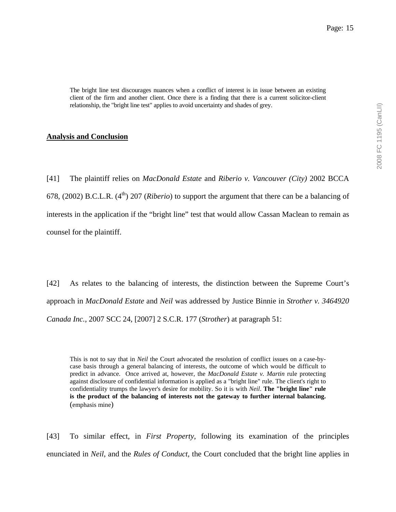The bright line test discourages nuances when a conflict of interest is in issue between an existing client of the firm and another client. Once there is a finding that there is a current solicitor-client relationship, the "bright line test" applies to avoid uncertainty and shades of grey.

### **Analysis and Conclusion**

[41] The plaintiff relies on *MacDonald Estate* and *Riberio v. Vancouver (City)* 2002 BCCA 678, (2002) B.C.L.R. (4th) 207 (*Riberio*) to support the argument that there can be a balancing of interests in the application if the "bright line" test that would allow Cassan Maclean to remain as counsel for the plaintiff.

[42] As relates to the balancing of interests, the distinction between the Supreme Court's approach in *MacDonald Estate* and *Neil* was addressed by Justice Binnie in *Strother v. 3464920 Canada Inc.,* 2007 SCC 24, [2007] 2 S.C.R. 177 (*Strother*) at paragraph 51:

This is not to say that in *Neil* the Court advocated the resolution of conflict issues on a case-bycase basis through a general balancing of interests, the outcome of which would be difficult to predict in advance. Once arrived at, however, the *MacDonald Estate v. Martin* rule protecting against disclosure of confidential information is applied as a "bright line" rule. The client's right to confidentiality trumps the lawyer's desire for mobility. So it is with *Neil*. **The "bright line" rule is the product of the balancing of interests not the gateway to further internal balancing.** (emphasis mine)

[43] To similar effect, in *First Property*, following its examination of the principles enunciated in *Neil*, and the *Rules of Conduct,* the Court concluded that the bright line applies in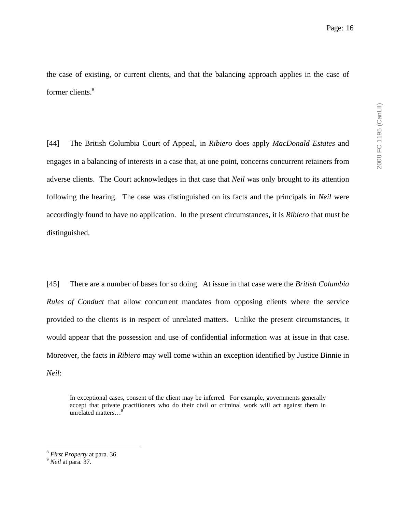the case of existing, or current clients, and that the balancing approach applies in the case of former clients.<sup>8</sup>

[44] The British Columbia Court of Appeal, in *Ribiero* does apply *MacDonald Estates* and engages in a balancing of interests in a case that, at one point, concerns concurrent retainers from adverse clients. The Court acknowledges in that case that *Neil* was only brought to its attention following the hearing. The case was distinguished on its facts and the principals in *Neil* were accordingly found to have no application. In the present circumstances, it is *Ribiero* that must be distinguished.

[45] There are a number of bases for so doing. At issue in that case were the *British Columbia Rules of Conduct* that allow concurrent mandates from opposing clients where the service provided to the clients is in respect of unrelated matters. Unlike the present circumstances, it would appear that the possession and use of confidential information was at issue in that case. Moreover, the facts in *Ribiero* may well come within an exception identified by Justice Binnie in *Neil*:

In exceptional cases, consent of the client may be inferred. For example, governments generally accept that private practitioners who do their civil or criminal work will act against them in unrelated matters...<sup>9</sup>

<sup>8</sup> *First Property* at para. 36. 9 *Neil* at para. 37.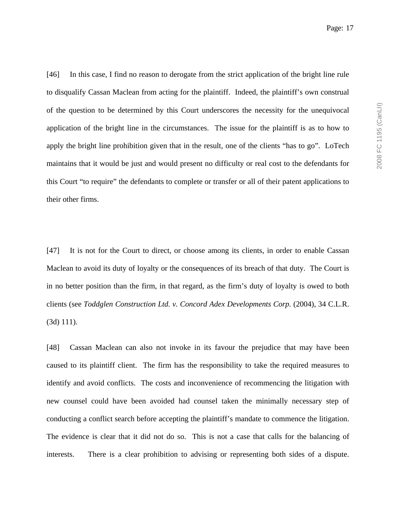[46] In this case, I find no reason to derogate from the strict application of the bright line rule to disqualify Cassan Maclean from acting for the plaintiff. Indeed, the plaintiff's own construal of the question to be determined by this Court underscores the necessity for the unequivocal application of the bright line in the circumstances. The issue for the plaintiff is as to how to apply the bright line prohibition given that in the result, one of the clients "has to go". LoTech maintains that it would be just and would present no difficulty or real cost to the defendants for this Court "to require" the defendants to complete or transfer or all of their patent applications to their other firms.

[47] It is not for the Court to direct, or choose among its clients, in order to enable Cassan Maclean to avoid its duty of loyalty or the consequences of its breach of that duty. The Court is in no better position than the firm, in that regard, as the firm's duty of loyalty is owed to both clients (see *Toddglen Construction Ltd. v. Concord Adex Developments Corp.* (2004), 34 C.L.R. (3d) 111).

[48] Cassan Maclean can also not invoke in its favour the prejudice that may have been caused to its plaintiff client. The firm has the responsibility to take the required measures to identify and avoid conflicts. The costs and inconvenience of recommencing the litigation with new counsel could have been avoided had counsel taken the minimally necessary step of conducting a conflict search before accepting the plaintiff's mandate to commence the litigation. The evidence is clear that it did not do so. This is not a case that calls for the balancing of interests. There is a clear prohibition to advising or representing both sides of a dispute.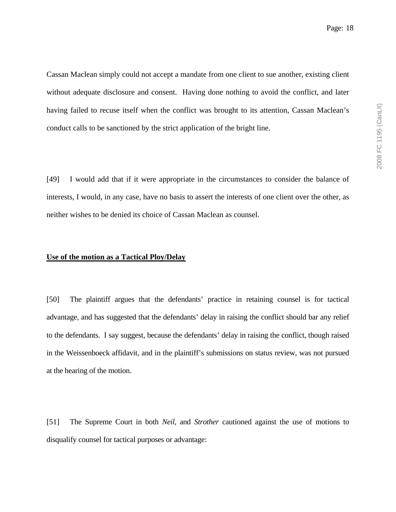Cassan Maclean simply could not accept a mandate from one client to sue another, existing client without adequate disclosure and consent. Having done nothing to avoid the conflict, and later having failed to recuse itself when the conflict was brought to its attention, Cassan Maclean's conduct calls to be sanctioned by the strict application of the bright line.

[49] I would add that if it were appropriate in the circumstances to consider the balance of interests, I would, in any case, have no basis to assert the interests of one client over the other, as neither wishes to be denied its choice of Cassan Maclean as counsel.

#### **Use of the motion as a Tactical Ploy/Delay**

[50] The plaintiff argues that the defendants' practice in retaining counsel is for tactical advantage, and has suggested that the defendants' delay in raising the conflict should bar any relief to the defendants. I say suggest, because the defendants' delay in raising the conflict, though raised in the Weissenboeck affidavit, and in the plaintiff's submissions on status review, was not pursued at the hearing of the motion.

[51] The Supreme Court in both *Neil*, and *Strother* cautioned against the use of motions to disqualify counsel for tactical purposes or advantage: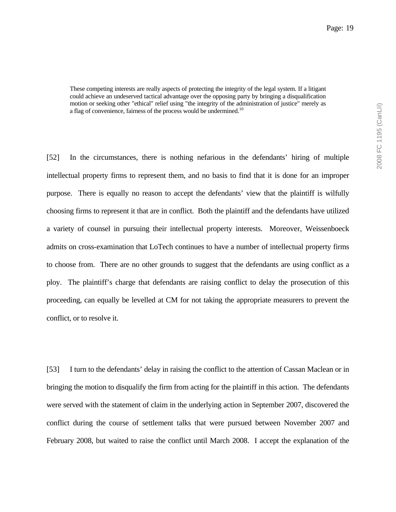These competing interests are really aspects of protecting the integrity of the legal system. If a litigant could achieve an undeserved tactical advantage over the opposing party by bringing a disqualification motion or seeking other "ethical" relief using "the integrity of the administration of justice" merely as a flag of convenience, fairness of the process would be undermined.<sup>10</sup>

[52] In the circumstances, there is nothing nefarious in the defendants' hiring of multiple intellectual property firms to represent them, and no basis to find that it is done for an improper purpose. There is equally no reason to accept the defendants' view that the plaintiff is wilfully choosing firms to represent it that are in conflict. Both the plaintiff and the defendants have utilized a variety of counsel in pursuing their intellectual property interests. Moreover, Weissenboeck admits on cross-examination that LoTech continues to have a number of intellectual property firms to choose from. There are no other grounds to suggest that the defendants are using conflict as a ploy. The plaintiff's charge that defendants are raising conflict to delay the prosecution of this proceeding, can equally be levelled at CM for not taking the appropriate measurers to prevent the conflict, or to resolve it.

[53] I turn to the defendants' delay in raising the conflict to the attention of Cassan Maclean or in bringing the motion to disqualify the firm from acting for the plaintiff in this action. The defendants were served with the statement of claim in the underlying action in September 2007, discovered the conflict during the course of settlement talks that were pursued between November 2007 and February 2008, but waited to raise the conflict until March 2008. I accept the explanation of the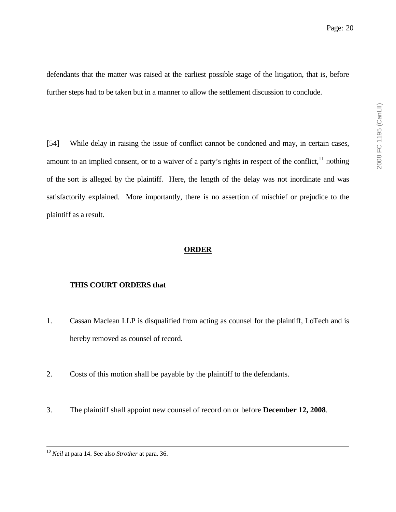defendants that the matter was raised at the earliest possible stage of the litigation, that is, before further steps had to be taken but in a manner to allow the settlement discussion to conclude.

[54] While delay in raising the issue of conflict cannot be condoned and may, in certain cases, amount to an implied consent, or to a waiver of a party's rights in respect of the conflict, $11$  nothing of the sort is alleged by the plaintiff. Here, the length of the delay was not inordinate and was satisfactorily explained. More importantly, there is no assertion of mischief or prejudice to the plaintiff as a result.

### **ORDER**

#### **THIS COURT ORDERS that**

- 1. Cassan Maclean LLP is disqualified from acting as counsel for the plaintiff, LoTech and is hereby removed as counsel of record.
- 2. Costs of this motion shall be payable by the plaintiff to the defendants.
- 3. The plaintiff shall appoint new counsel of record on or before **December 12, 2008**.

 <sup>10</sup> *Neil* at para 14. See also *Strother* at para. 36.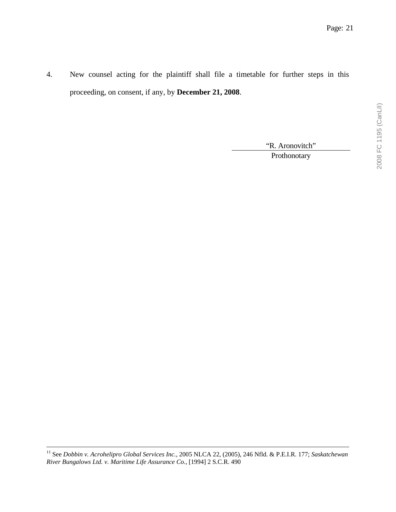4. New counsel acting for the plaintiff shall file a timetable for further steps in this proceeding, on consent, if any, by **December 21, 2008**.

"R. Aronovitch"

Prothonotary

 11 See *Dobbin v. Acrohelipro Global Services Inc.*, 2005 NLCA 22, (2005), 246 Nfld. & P.E.I.R. 177; *Saskatchewan River Bungalows Ltd. v. Maritime Life Assurance Co.*, [1994] 2 S.C.R. 490